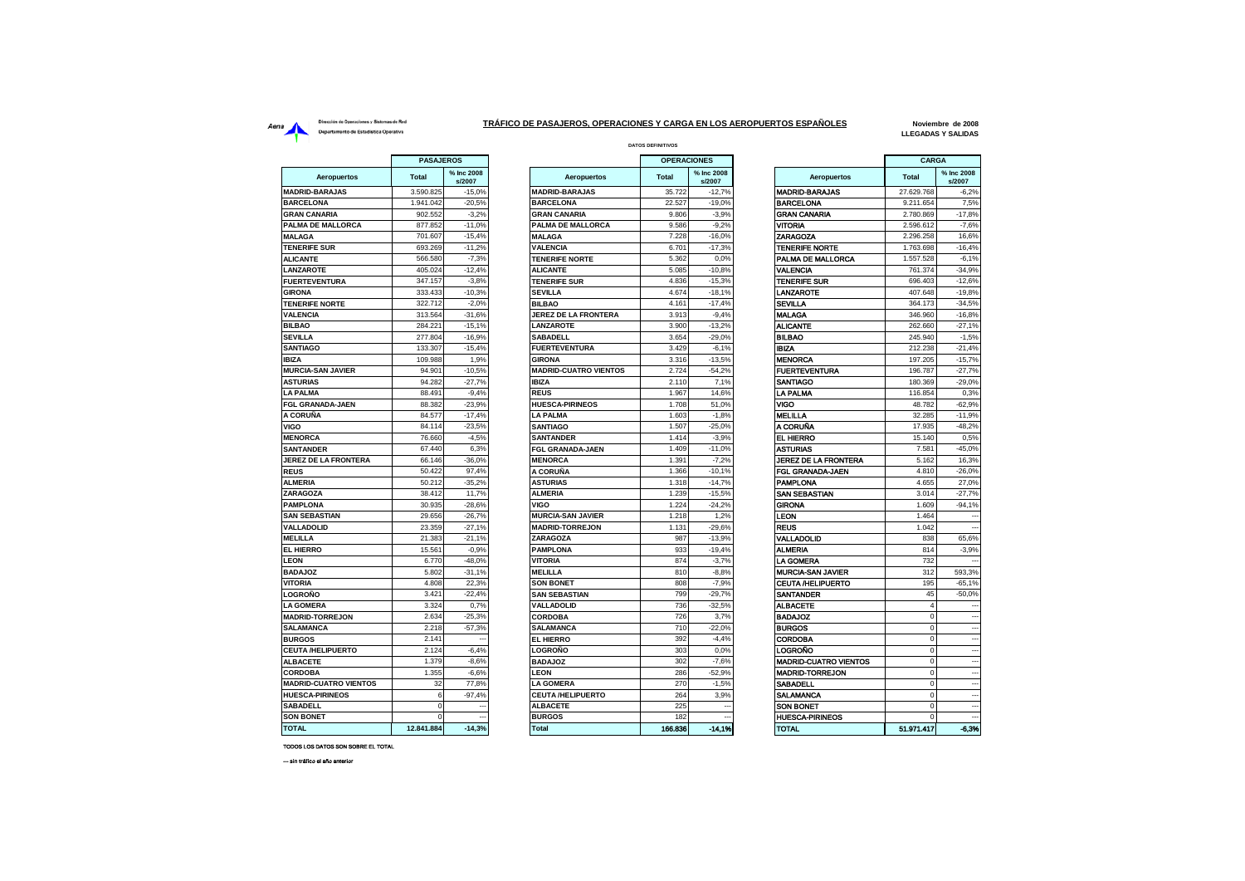## Dirección de Operaciones y Sistemas de Red Aerna<br>
Dirección de Operationes y Sistemas de Red<br>
Departamento de Estadística Operativa<br>
Departamento de Estadística Operativa

 $\overline{a}$ 

and the

## **DATOS DEFINITIVOS TRÁFICO DE PASAJEROS, OPERACIONES Y CARGA EN LOS AEROPUERTOS ESPAÑOLES**

**Noviembre de 2008 LLEGADAS Y SALIDAS**

|                              | PASAJEROS    |                      |                              | <b>OPERACIONES</b> |                      |                              | CARGA        |                          |
|------------------------------|--------------|----------------------|------------------------------|--------------------|----------------------|------------------------------|--------------|--------------------------|
| <b>Aeropuertos</b>           | <b>Total</b> | % Inc 2008<br>s/2007 | Aeropuertos                  | <b>Total</b>       | % Inc 2008<br>s/2007 | <b>Aeropuertos</b>           | <b>Total</b> | % Inc 2008<br>s/2007     |
| <b>MADRID-BARAJAS</b>        | 3.590.825    | $-15,0%$             | <b>MADRID-BARAJAS</b>        | 35.722             | $-12,7%$             | <b>MADRID-BARAJAS</b>        | 27.629.768   | $-6,2%$                  |
| <b>BARCELONA</b>             | 1.941.042    | $-20.5%$             | <b>BARCELONA</b>             | 22.527             | $-19.0%$             | <b>BARCELONA</b>             | 9.211.654    | 7.5%                     |
| <b>GRAN CANARIA</b>          | 902.552      | $-3,2%$              | <b>GRAN CANARIA</b>          | 9.806              | $-3,9%$              | <b>GRAN CANARIA</b>          | 2.780.869    | $-17,8%$                 |
| PALMA DE MALLORCA            | 877.852      | $-11,0%$             | PALMA DE MALLORCA            | 9.586              | $-9,2%$              | <b>VITORIA</b>               | 2.596.612    | $-7,6%$                  |
| <b>MALAGA</b>                | 701.607      | $-15,4%$             | <b>MALAGA</b>                | 7.228              | $-16,0%$             | ZARAGOZA                     | 2.296.258    | 16,6%                    |
| <b>TENERIFE SUR</b>          | 693.269      | $-11.2%$             | <b>VALENCIA</b>              | 6.701              | $-17,3%$             | <b>TENERIFE NORTE</b>        | 1.763.698    | $-16,4%$                 |
| <b>ALICANTE</b>              | 566.580      | $-7,3%$              | <b>TENERIFE NORTE</b>        | 5.362              | 0,0%                 | PALMA DE MALLORCA            | 1.557.528    | $-6,1%$                  |
| LANZAROTE                    | 405.024      | $-12,4%$             | <b>ALICANTE</b>              | 5.085              | $-10,8%$             | VALENCIA                     | 761.374      | $-34,9%$                 |
| <b>FUERTEVENTURA</b>         | 347.157      | $-3,8%$              | <b>TENERIFE SUR</b>          | 4.836              | $-15.3%$             | <b>TENERIFE SUR</b>          | 696,403      | $-12,6%$                 |
| <b>GIRONA</b>                | 333.433      | $-10.3%$             | <b>SEVILLA</b>               | 4.674              | $-18.1%$             | <b>LANZAROTE</b>             | 407.648      | $-19,8%$                 |
| <b>TENERIFE NORTE</b>        | 322.712      | $-2,0%$              | <b>BILBAO</b>                | 4.161              | $-17,4%$             | <b>SEVILLA</b>               | 364.173      | $-34,5%$                 |
| <b>VALENCIA</b>              | 313.564      | $-31,6%$             | <b>JEREZ DE LA FRONTERA</b>  | 3.913              | $-9.4%$              | <b>MALAGA</b>                | 346.960      | $-16,8%$                 |
| <b>BILBAO</b>                | 284.221      | $-15,1%$             | LANZAROTE                    | 3.900              | $-13,2%$             | <b>ALICANTE</b>              | 262.660      | $-27,1%$                 |
| <b>SEVILLA</b>               | 277.804      | $-16,9%$             | <b>SABADELL</b>              | 3.654              | $-29,0%$             | <b>BILBAO</b>                | 245.940      | $-1,5%$                  |
| <b>SANTIAGO</b>              | 133.307      | $-15,4%$             | <b>FUERTEVENTURA</b>         | 3.429              | $-6.1%$              | <b>IBIZA</b>                 | 212.238      | $-21,4%$                 |
| <b>IBIZA</b>                 | 109.988      | 1,9%                 | <b>GIRONA</b>                | 3.316              | $-13,5%$             | <b>MENORCA</b>               | 197.205      | $-15,7%$                 |
| <b>MURCIA-SAN JAVIER</b>     | 94.901       | $-10,5%$             | <b>MADRID-CUATRO VIENTOS</b> | 2.724              | $-54,2%$             | <b>FUERTEVENTURA</b>         | 196.787      | $-27,7%$                 |
| <b>ASTURIAS</b>              | 94.282       | $-27.7%$             | <b>IBIZA</b>                 | 2.110              | 7.1%                 | SANTIAGO                     | 180,369      | $-29.0%$                 |
| <b>LA PALMA</b>              | 88.491       | $-9,4%$              | <b>REUS</b>                  | 1.967              | 14,6%                | <b>LA PALMA</b>              | 116.854      | 0,3%                     |
| FGL GRANADA-JAEN             | 88.382       | $-23,9%$             | <b>HUESCA-PIRINEOS</b>       | 1.708              | 51,0%                | VIGO                         | 48.782       | $-62,9%$                 |
| A CORUÑA                     | 84.577       | $-17.4%$             | LA PALMA                     | 1.603              | $-1.8%$              | <b>MELILLA</b>               | 32.285       | $-11,9%$                 |
| VIGO                         | 84.114       | $-23,5%$             | <b>SANTIAGO</b>              | 1.507              | $-25,0%$             | A CORUÑA                     | 17.935       | $-48,2%$                 |
| <b>MENORCA</b>               | 76.660       | $-4,5%$              | <b>SANTANDER</b>             | 1.414              | $-3,9%$              | <b>EL HIERRO</b>             | 15.140       | 0,5%                     |
| <b>SANTANDER</b>             | 67.440       | 6,3%                 | <b>FGL GRANADA-JAEN</b>      | 1.409              | $-11.0%$             | ASTURIAS                     | 7.581        | $-45,0%$                 |
| <b>JEREZ DE LA FRONTERA</b>  | 66.146       | $-36,0%$             | <b>MENORCA</b>               | 1.391              | $-7,2%$              | JEREZ DE LA FRONTERA         | 5.162        | 16,3%                    |
| <b>REUS</b>                  | 50.422       | 97,4%                | A CORUÑA                     | 1.366              | $-10,1%$             | FGL GRANADA-JAEN             | 4.810        | $-26,0%$                 |
| <b>ALMERIA</b>               | 50.212       | $-35.2%$             | <b>ASTURIAS</b>              | 1.318              | $-14.7%$             | <b>PAMPLONA</b>              | 4.655        | 27.0%                    |
| ZARAGOZA                     | 38.412       | 11,7%                | <b>ALMERIA</b>               | 1.239              | $-15,5%$             | SAN SEBASTIAN                | 3.014        | $-27,7%$                 |
| <b>PAMPLONA</b>              | 30.935       | $-28,6%$             | <b>VIGO</b>                  | 1.224              | $-24,2%$             | <b>GIRONA</b>                | 1.609        | $-94,1%$                 |
| <b>SAN SEBASTIAN</b>         | 29.656       | $-26,7%$             | <b>MURCIA-SAN JAVIER</b>     | 1.218              | 1,2%                 | LEON                         | 1.464        |                          |
| <b>VALLADOLID</b>            | 23.359       | $-27,1%$             | <b>MADRID-TORREJON</b>       | 1.131              | $-29,6%$             | <b>REUS</b>                  | 1.042        | $\overline{\phantom{a}}$ |
| <b>MELILLA</b>               | 21.383       | $-21,1%$             | <b>ZARAGOZA</b>              | 987                | $-13,9%$             | VALLADOLID                   | 838          | 65,6%                    |
| <b>EL HIERRO</b>             | 15.561       | $-0.9%$              | <b>PAMPLONA</b>              | 933                | $-19,4%$             | <b>ALMERIA</b>               | 814          | $-3.9%$                  |
| <b>LEON</b>                  | 6,770        | $-48.0%$             | <b>VITORIA</b>               | 874                | $-3.7%$              | LA GOMERA                    | 732          |                          |
| <b>BADAJOZ</b>               | 5.802        | $-31,1%$             | <b>MELILLA</b>               | 810                | $-8,8%$              | <b>MURCIA-SAN JAVIER</b>     | 312          | 593,3%                   |
| <b>VITORIA</b>               | 4.808        | 22.3%                | <b>SON BONET</b>             | 808                | $-7.9%$              | <b>CEUTA /HELIPUERTO</b>     | 195          | $-65.1%$                 |
| <b>LOGROÑO</b>               | 3.421        | $-22,4%$             | <b>SAN SEBASTIAN</b>         | 799                | $-29,7%$             | <b>SANTANDER</b>             | 45           | $-50,0%$                 |
| <b>LA GOMERA</b>             | 3.324        | 0,7%                 | <b>VALLADOLID</b>            | 736                | $-32,5%$             | <b>ALBACETE</b>              | $\Delta$     |                          |
| <b>MADRID-TORREJON</b>       | 2.634        | $-25,3%$             | <b>CORDOBA</b>               | 726                | 3,7%                 | <b>BADAJOZ</b>               | $\Omega$     |                          |
| <b>SALAMANCA</b>             | 2.218        | $-57,3%$             | <b>SALAMANCA</b>             | 710                | $-22.0%$             | <b>BURGOS</b>                | $\Omega$     |                          |
| <b>BURGOS</b>                | 2.141        |                      | <b>EL HIERRO</b>             | 392                | $-4,4%$              | <b>CORDOBA</b>               | $\Omega$     |                          |
| <b>CEUTA/HELIPUERTO</b>      | 2.124        | $-6.4%$              | LOGROÑO                      | 303                | 0.0%                 | LOGROÑO                      |              |                          |
| <b>ALBACETE</b>              | 1.379        | $-8.6%$              | <b>BADAJOZ</b>               | 302                | $-7.6%$              | <b>MADRID-CUATRO VIENTOS</b> | $\Omega$     |                          |
| <b>CORDOBA</b>               | 1.355        | $-6,6%$              | <b>LEON</b>                  | 286                | $-52,9%$             | <b>MADRID-TORREJON</b>       | $\Omega$     |                          |
| <b>MADRID-CUATRO VIENTOS</b> | 32           | 77,8%                | <b>LA GOMERA</b>             | 270                | $-1.5%$              | SABADELL                     | $\Omega$     |                          |
| <b>HUESCA-PIRINEOS</b>       | 6            | $-97,4%$             | <b>CEUTA /HELIPUERTO</b>     | 264                | 3,9%                 | SALAMANCA                    | $\Omega$     |                          |
| <b>SABADELL</b>              | $\Omega$     |                      | <b>ALBACETE</b>              | 225                |                      | <b>SON BONET</b>             | $\Omega$     |                          |
| <b>SON BONET</b>             | $\mathbf 0$  |                      | <b>BURGOS</b>                | 182                |                      | <b>HUESCA-PIRINEOS</b>       | $\mathbf 0$  |                          |
| <b>TOTAL</b>                 | 12841884     | $-14.3%$             | Total                        | 166.836            | $-14.1%$             | <b>TOTAL</b>                 | 51 971 417   | -8.3%                    |

| <b>PASAJEROS</b> |                      |                              | <b>OPERACIONES</b> |                      |                              | CARGA          |                          |
|------------------|----------------------|------------------------------|--------------------|----------------------|------------------------------|----------------|--------------------------|
| tal              | % Inc 2008<br>s/2007 | <b>Aeropuertos</b>           | <b>Total</b>       | % Inc 2008<br>s/2007 | <b>Aeropuertos</b>           | <b>Total</b>   | % Inc 2008<br>s/2007     |
| 90.825           | $-15,0%$             | <b>MADRID-BARAJAS</b>        | 35.722             | $-12.7%$             | <b>MADRID-BARAJAS</b>        | 27.629.768     | $-6.2%$                  |
| 41.042           | $-20,5%$             | <b>BARCELONA</b>             | 22.527             | $-19,0%$             | <b>BARCELONA</b>             | 9.211.654      | 7,5%                     |
| 02.552           | $-3,2%$              | <b>GRAN CANARIA</b>          | 9.806              | $-3,9%$              | <b>GRAN CANARIA</b>          | 2.780.869      | $-17,8%$                 |
| 77.852           | $-11,0%$             | PALMA DE MALLORCA            | 9.586              | $-9.2%$              | VITORIA                      | 2.596.612      | $-7.6%$                  |
| 01.607           | $-15.4%$             | <b>MALAGA</b>                | 7.228              | $-16.0%$             | ZARAGOZA                     | 2.296.258      | 16.6%                    |
| 93.269           | $-11,2%$             | <b>VALENCIA</b>              | 6.701              | $-17,3%$             | <b>TENERIFE NORTE</b>        | 1.763.698      | $-16,4%$                 |
| 66.580           | $-7,3%$              | <b>TENERIFE NORTE</b>        | 5.362              | 0.0%                 | PALMA DE MALLORCA            | 1.557.528      | $-6,1%$                  |
| 05.024           | $-12,4%$             | <b>ALICANTE</b>              | 5.085              | $-10,8%$             | VALENCIA                     | 761.374        | $-34,9%$                 |
| 47.157           | $-3,8%$              | <b>TENERIFE SUR</b>          | 4.836              | $-15,3%$             | <b>TENERIFE SUR</b>          | 696.403        | $-12.6%$                 |
| 33.433           | $-10,3%$             | <b>SEVILLA</b>               | 4.674              | $-18,1%$             | LANZAROTE                    | 407.648        | $-19.8%$                 |
| 22.712           | $-2,0%$              | <b>BILBAO</b>                | 4.161              | $-17,4%$             | <b>SEVILLA</b>               | 364.173        | $-34,5%$                 |
| 13.564           | $-31.6%$             | <b>JEREZ DE LA FRONTERA</b>  | 3.913              | $-9.4%$              | <b>MALAGA</b>                | 346.960        | $-16.8%$                 |
| 84.221           | $-15.1%$             | <b>ANZAROTE</b>              | 3.900              | $-13,2%$             | <b>ALICANTE</b>              | 262.660        | $-27.1%$                 |
| 277,804          | $-16,9%$             | <b>SABADELL</b>              | 3.654              | $-29.0%$             | <b>BILBAO</b>                | 245.940        | $-1.5%$                  |
| 33.307           | $-15.4%$             | <b>FUERTEVENTURA</b>         | 3.429              | $-6,1%$              | <b>IBIZA</b>                 | 212.238        | $-21,4%$                 |
| 09.988           | 1,9%                 | <b>GIRONA</b>                | 3.316              | $-13,5%$             | <b>MENORCA</b>               | 197.205        | $-15,7%$                 |
| 94.901           | $-10.5%$             | <b>MADRID-CUATRO VIENTOS</b> | 2.724              | $-54.2%$             | <b>FUERTEVENTURA</b>         | 196.787        | $-27,7%$                 |
| 94.282           | $-27,7%$             | <b>IBIZA</b>                 | 2.110              | 7,1%                 | <b>SANTIAGO</b>              | 180.369        | $-29.0%$                 |
| 88.491           | $-9,4%$              | <b>REUS</b>                  | 1.967              | 14,6%                | <b>LA PALMA</b>              | 116.854        | 0,3%                     |
| 88.382           | $-23,9%$             | <b>HUESCA-PIRINEOS</b>       | 1.708              | 51,0%                | VIGO                         | 48.782         | $-62,9%$                 |
| 84.577           | $-17,4%$             | <b>LA PALMA</b>              | 1.603              | $-1,8%$              | <b>MELILLA</b>               | 32.285         | $-11,9%$                 |
| 84.114           | $-23,5%$             | <b>SANTIAGO</b>              | 1.507              | $-25,0%$             | A CORUÑA                     | 17.935         | $-48,2%$                 |
| 76.660           | $-4,5%$              | <b>SANTANDER</b>             | 1.414              | $-3,9%$              | <b>EL HIERRO</b>             | 15.140         | 0,5%                     |
| 67.440           | 6,3%                 | FGL GRANADA-JAEN             | 1.409              | $-11,0%$             | <b>ASTURIAS</b>              | 7.581          | $-45,0%$                 |
| 66.146           | $-36,0%$             | <b>MENORCA</b>               | 1.391              | $-7,2%$              | <b>JEREZ DE LA FRONTERA</b>  | 5.162          | 16,3%                    |
|                  | 97,4%                | A CORUÑA                     |                    |                      | FGL GRANADA-JAEN             | 4.810          | $-26.0%$                 |
| 50.422           |                      | <b>ASTURIAS</b>              | 1.366<br>1.318     | $-10,1%$             | <b>PAMPLONA</b>              | 4.655          |                          |
| 50.212<br>38.412 | $-35,2%$<br>11,7%    | <b>ALMERIA</b>               | 1.239              | $-14,7%$<br>$-15,5%$ | SAN SEBASTIAN                | 3.014          | 27,0%<br>$-27,7%$        |
|                  |                      | VIGO                         | 1.224              |                      |                              |                |                          |
| 30.935<br>29.656 | $-28,6%$<br>$-26.7%$ |                              | 1.218              | $-24,2%$<br>1.2%     | <b>GIRONA</b>                | 1.609<br>1.464 | $-94,1%$                 |
| 23.359           | $-27.1%$             | <b>MURCIA-SAN JAVIER</b>     | 1.131              | $-29.6%$             | LEON<br><b>REUS</b>          | 1.042          |                          |
|                  |                      | <b>MADRID-TORREJON</b>       |                    |                      |                              |                |                          |
| 21.383           | $-21.1%$             | ZARAGOZA                     | 987                | $-13.9%$             | VALLADOLID                   | 838            | 65.6%                    |
| 15.561           | $-0.9%$              | <b>PAMPLONA</b>              | 933                | $-19,4%$             | <b>ALMERIA</b>               | 814            | $-3,9%$                  |
| 6.770            | $-48,0%$             | <b>VITORIA</b>               | 874                | $-3,7%$              | <b>LA GOMERA</b>             | 732            |                          |
| 5.802            | $-31,1%$             | <b>MELILLA</b>               | 810                | $-8.8%$              | <b>MURCIA-SAN JAVIER</b>     | 312            | 593.3%                   |
| 4.808            | 22,3%                | <b>SON BONET</b>             | 808                | $-7,9%$              | <b>CEUTA /HELIPUERTO</b>     | 195            | $-65,1%$                 |
| 3.421            | $-22,4%$             | <b>SAN SEBASTIAN</b>         | 799                | $-29,7%$             | <b>SANTANDER</b>             | 45             | $-50,0%$                 |
| 3.324            | 0,7%                 | <b>VALLADOLID</b>            | 736                | $-32,5%$             | <b>ALBACETE</b>              | $\overline{4}$ | $\sim$                   |
| 2.634            | $-25,3%$             | <b>CORDOBA</b>               | 726                | 3,7%                 | <b>BADAJOZ</b>               | $\mathbf 0$    |                          |
| 2.218            | $-57,3%$             | <b>SALAMANCA</b>             | 710                | $-22.0%$             | <b>BURGOS</b>                | $\mathbf 0$    |                          |
| 2.141            |                      | <b>EL HIERRO</b>             | 392                | $-4.4%$              | <b>CORDOBA</b>               | $\mathbf 0$    |                          |
| 2.124            | $-6,4%$              | LOGROÑO                      | 303                | 0,0%                 | <b>LOGROÑO</b>               | $\mathbf 0$    | $\overline{\phantom{a}}$ |
| 1.379            | $-8,6%$              | <b>BADAJOZ</b>               | 302                | $-7,6%$              | <b>MADRID-CUATRO VIENTOS</b> | $\mathbf 0$    |                          |
| 1.355            | $-6.6%$              | LEON                         | 286                | $-52.9%$             | <b>MADRID-TORREJON</b>       | $\Omega$       |                          |
| 32               | 77,8%                | <b>LA GOMERA</b>             | 270                | $-1,5%$              | <b>SABADELL</b>              | $\mathbf 0$    |                          |
| 6                | $-97,4%$             | <b>CEUTA /HELIPUERTO</b>     | 264                | 3,9%                 | <b>SALAMANCA</b>             | $\mathbf 0$    | $\overline{\phantom{a}}$ |
| $\mathbf 0$      | -                    | <b>ALBACETE</b>              | 225                |                      | <b>SON BONET</b>             | $\mathbf 0$    |                          |
| $\mathbf 0$      |                      | <b>BURGOS</b>                | 182                |                      | <b>HUESCA-PIRINEOS</b>       | $\mathbf 0$    |                          |
| 141.884          | $-14,3%$             | <b>Total</b>                 | 166.836            | $-14, 1%$            | <b>TOTAL</b>                 | 51.971.417     | $-6,3%$                  |

|                              | <b>CARGA</b>   |                      |
|------------------------------|----------------|----------------------|
| Aeropuertos                  | <b>Total</b>   | % Inc 2008<br>s/2007 |
| <b>MADRID-BARAJAS</b>        | 27.629.768     | $-6,2%$              |
| BARCELONA                    | 9.211.654      | 7,5%                 |
| GRAN CANARIA                 | 2.780.869      | $-17,8%$             |
| VITORIA                      | 2.596.612      | $-7,6%$              |
| ZARAGOZA                     | 2.296.258      | 16,6%                |
| <b>TENERIFE NORTE</b>        | 1.763.698      | $-16,4%$             |
| PALMA DE MALLORCA            | 1.557.528      | $-6,1%$              |
| <b>VALENCIA</b>              | 761.374        | $-34,9%$             |
| TENERIFE SUR                 | 696.403        | $-12,6%$             |
| LANZAROTE                    | 407.648        | $-19,8%$             |
| SEVILLA                      | 364.173        | $-34,5%$             |
| MALAGA                       | 346.960        | $-16,8%$             |
| <b>ALICANTE</b>              | 262.660        | $-27,1%$             |
| BILBAO                       | 245.940        | $-1,5%$              |
| IBIZA                        | 212.238        | $-21,4%$             |
| MENORCA                      | 197.205        | $-15,7%$             |
| <b>FUERTEVENTURA</b>         | 196.787        | $-27,7%$             |
| SANTIAGO                     | 180.369        | $-29,0%$             |
| LA PALMA                     | 116.854        | 0,3%                 |
| VIGO                         | 48.782         | $-62,9%$             |
| MELILLA                      | 32.285         | $-11,9%$             |
| A CORUÑA                     | 17.935         | $-48,2%$             |
| <b>EL HIERRO</b>             | 15.140         | 0,5%                 |
|                              | 7.581          |                      |
| ASTURIAS                     |                | $-45,0%$             |
| JEREZ DE LA FRONTERA         | 5.162          | 16,3%                |
| FGL GRANADA JAEN             | 4.810          | $-26,0%$             |
| PAMPLONA                     | 4.655          | 27,0%                |
| SAN SEBASTIAN                | 3.014          | $-27,7%$             |
| <b>GIRONA</b>                | 1.609          | $-94,1%$             |
| LEON                         | 1.464          |                      |
| <b>REUS</b>                  | 1.042          |                      |
| VALLADOLID                   | 838            | 65,6%                |
| ALMERIA                      | 814            | $-3,9%$              |
| LA GOMERA                    | 732            |                      |
| <b>MURCIA-SAN JAVIER</b>     | 312            | 593,3%               |
| <b>CEUTA /HELIPUERTO</b>     | 195            | $-65,1%$             |
| SANTANDER                    | 45             | $-50,0%$             |
| <b>ALBACETE</b>              | 4              |                      |
| <b>BADAJOZ</b>               | $\mathbf 0$    |                      |
| <b>BURGOS</b>                | 0              |                      |
| <b>CORDOBA</b>               | $\mathbf 0$    |                      |
| LOGROÑO                      | 0              |                      |
| <b>MADRID-CUATRO VIENTOS</b> | 0              |                      |
| <b>MADRID-TORREJON</b>       | $\mathbf 0$    |                      |
| SABADELL                     | 0              |                      |
| SALAMANCA                    | 0              |                      |
| <b>SON BONET</b>             | $\mathbf 0$    |                      |
| <b>HUESCA-PIRINEOS</b>       | $\overline{0}$ |                      |
|                              |                |                      |

TODOS LOS DATOS SON SOBRE EL TOTAL

--- sin tráfico el año anterior